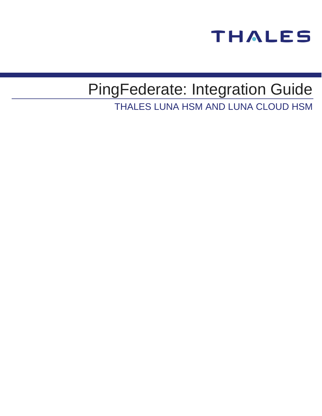

# PingFederate: Integration Guide

THALES LUNA HSM AND LUNA CLOUD HSM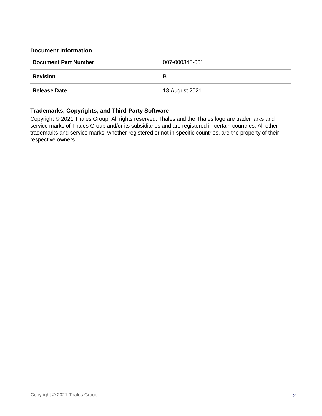## **Document Information**

| <b>Document Part Number</b> | 007-000345-001 |
|-----------------------------|----------------|
| <b>Revision</b>             | B              |
| <b>Release Date</b>         | 18 August 2021 |

## **Trademarks, Copyrights, and Third-Party Software**

Copyright © 2021 Thales Group. All rights reserved. Thales and the Thales logo are trademarks and service marks of Thales Group and/or its subsidiaries and are registered in certain countries. All other trademarks and service marks, whether registered or not in specific countries, are the property of their respective owners.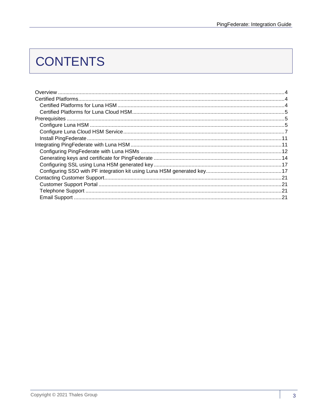## **CONTENTS**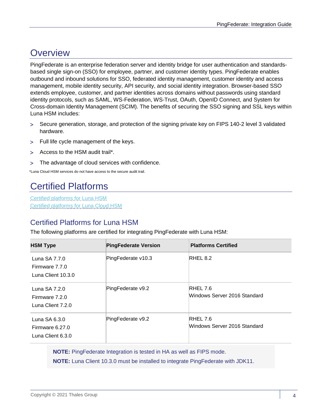## <span id="page-3-0"></span>**Overview**

PingFederate is an enterprise federation server and identity bridge for user authentication and standardsbased single sign-on (SSO) for employee, partner, and customer identity types. PingFederate enables outbound and inbound solutions for SSO, federated identity management, customer identity and access management, mobile identity security, API security, and social identity integration. Browser-based SSO extends employee, customer, and partner identities across domains without passwords using standard identity protocols, such as SAML, WS-Federation, WS-Trust, OAuth, OpenID Connect, and System for Cross-domain Identity Management (SCIM). The benefits of securing the SSO signing and SSL keys within Luna HSM includes:

- Secure generation, storage, and protection of the signing private key on FIPS 140-2 level 3 validated hardware.
- Full life cycle management of the keys.
- Access to the HSM audit trail\*.
- The advantage of cloud services with confidence.

<span id="page-3-1"></span>\*Luna Cloud HSM services do not have access to the secure audit trail.

## Certified Platforms

[Certified platforms for Luna HSM](#page-3-2) [Certified platforms for Luna Cloud HSM](#page-4-0)

## <span id="page-3-2"></span>Certified Platforms for Luna HSM

The following platforms are certified for integrating PingFederate with Luna HSM:

| <b>HSM Type</b>                                       | <b>PingFederate Version</b> | <b>Platforms Certified</b>               |
|-------------------------------------------------------|-----------------------------|------------------------------------------|
| Luna SA 7.7.0<br>Firmware 7.7.0<br>Luna Client 10.3.0 | PingFederate v10.3          | RHEL 8.2                                 |
| Luna SA 7.2.0<br>Firmware 7.2.0<br>Luna Client 7.2.0  | PingFederate v9.2           | RHEL 7.6<br>Windows Server 2016 Standard |
| Luna SA 6.3.0<br>Firmware 6.27.0<br>Luna Client 6.3.0 | PingFederate v9.2           | RHEL 7.6<br>Windows Server 2016 Standard |

**NOTE:** PingFederate Integration is tested in HA as well as FIPS mode.

**NOTE:** Luna Client 10.3.0 must be installed to integrate PingFederate with JDK11.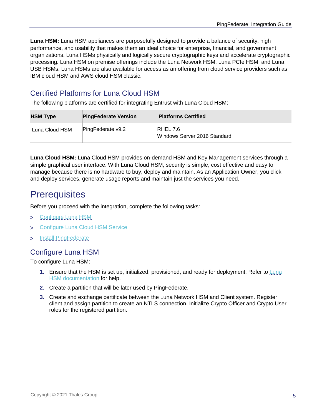**Luna HSM:** Luna HSM appliances are purposefully designed to provide a balance of security, high performance, and usability that makes them an ideal choice for enterprise, financial, and government organizations. Luna HSMs physically and logically secure cryptographic keys and accelerate cryptographic processing. Luna HSM on premise offerings include the Luna Network HSM, Luna PCIe HSM, and Luna USB HSMs. Luna HSMs are also available for access as an offering from cloud service providers such as IBM cloud HSM and AWS cloud HSM classic.

## <span id="page-4-0"></span>Certified Platforms for Luna Cloud HSM

The following platforms are certified for integrating Entrust with Luna Cloud HSM:

| <b>HSM Type</b> | <b>PingFederate Version</b> | <b>Platforms Certified</b>               |
|-----------------|-----------------------------|------------------------------------------|
| Luna Cloud HSM  | PingFederate v9.2           | RHEL 7.6<br>Windows Server 2016 Standard |

**Luna Cloud HSM:** Luna Cloud HSM provides on-demand HSM and Key Management services through a simple graphical user interface. With Luna Cloud HSM, security is simple, cost effective and easy to manage because there is no hardware to buy, deploy and maintain. As an Application Owner, you click and deploy services, generate usage reports and maintain just the services you need.

## <span id="page-4-1"></span>**Prerequisites**

Before you proceed with the integration, complete the following tasks:

- [Configure Luna HSM](#page-4-2)
- > [Configure Luna Cloud HSM Service](#page-6-0)
- > [Install PingFederate](#page-10-0)

## <span id="page-4-2"></span>Configure Luna HSM

To configure Luna HSM:

- **1.** Ensure that the HSM is set up, initialized, provisioned, and ready for deployment. Refer to [Luna](https://thalesdocs.com/gphsm/Content/luna/network/luna_network_releases.htm)  [HSM documentation](https://thalesdocs.com/gphsm/Content/luna/network/luna_network_releases.htm) for help.
- **2.** Create a partition that will be later used by PingFederate.
- **3.** Create and exchange certificate between the Luna Network HSM and Client system. Register client and assign partition to create an NTLS connection. Initialize Crypto Officer and Crypto User roles for the registered partition.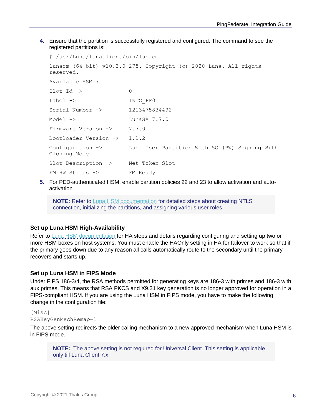**4.** Ensure that the partition is successfully registered and configured. The command to see the registered partitions is:

```
# /usr/Luna/lunaclient/bin/lunacm 
lunacm (64-bit) v10.3.0-275. Copyright (c) 2020 Luna. All rights 
reserved.
Available HSMs:
Slot Id \rightarrow 0
Label -> INTG PF01
Serial Number -> 1213475834492
Model -> LunaSA 7.7.0
Firmware Version -> 7.7.0
Bootloader Version -> 1.1.2
Configuration -> Luna User Partition With SO (PW) Signing With 
Cloning Mode
Slot Description -> Net Token Slot
FM HW Status -> FM Ready
```
**5.** For PED-authenticated HSM, enable partition policies 22 and 23 to allow activation and autoactivation.

**NOTE:** Refer to [Luna HSM documentation](https://thalesdocs.com/gphsm/Content/luna/network/luna_network_releases.htm) for detailed steps about creating NTLS connection, initializing the partitions, and assigning various user roles.

## **Set up Luna HSM High-Availability**

Refer to [Luna HSM documentation](https://thalesdocs.com/gphsm/Content/luna/network/luna_network_releases.htm) for HA steps and details regarding configuring and setting up two or more HSM boxes on host systems. You must enable the HAOnly setting in HA for failover to work so that if the primary goes down due to any reason all calls automatically route to the secondary until the primary recovers and starts up.

## **Set up Luna HSM in FIPS Mode**

Under FIPS 186-3/4, the RSA methods permitted for generating keys are 186-3 with primes and 186-3 with aux primes. This means that RSA PKCS and X9.31 key generation is no longer approved for operation in a FIPS-compliant HSM. If you are using the Luna HSM in FIPS mode, you have to make the following change in the configuration file:

## [Misc] RSAKeyGenMechRemap=1

The above setting redirects the older calling mechanism to a new approved mechanism when Luna HSM is in FIPS mode.

**NOTE:** The above setting is not required for Universal Client. This setting is applicable only till Luna Client 7.x.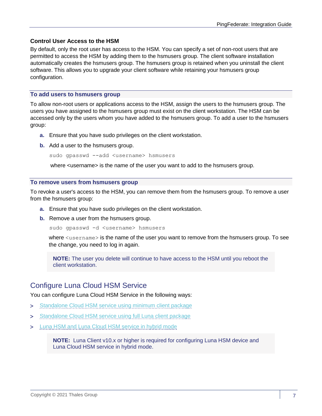## **Control User Access to the HSM**

By default, only the root user has access to the HSM. You can specify a set of non-root users that are permitted to access the HSM by adding them to the hsmusers group. The client software installation automatically creates the hsmusers group. The hsmusers group is retained when you uninstall the client software. This allows you to upgrade your client software while retaining your hsmusers group configuration.

#### **To add users to hsmusers group**

To allow non-root users or applications access to the HSM, assign the users to the hsmusers group. The users you have assigned to the hsmusers group must exist on the client workstation. The HSM can be accessed only by the users whom you have added to the hsmusers group. To add a user to the hsmusers group:

- **a.** Ensure that you have sudo privileges on the client workstation.
- **b.** Add a user to the hsmusers group.

sudo gpasswd --add <username> hsmusers

where <username> is the name of the user you want to add to the hsmusers group.

#### **To remove users from hsmusers group**

To revoke a user's access to the HSM, you can remove them from the hsmusers group. To remove a user from the hsmusers group:

- **a.** Ensure that you have sudo privileges on the client workstation.
- **b.** Remove a user from the hsmusers group.

sudo gpasswd -d <username> hsmusers

where  $\langle$ username> is the name of the user you want to remove from the hsmusers group. To see the change, you need to log in again.

**NOTE:** The user you delete will continue to have access to the HSM until you reboot the client workstation.

## <span id="page-6-0"></span>Configure Luna Cloud HSM Service

You can configure Luna Cloud HSM Service in the following ways:

- > [Standalone Cloud HSM service using minimum client package](#page-6-1)
- > [Standalone Cloud HSM service using full Luna client package](#page-7-0)
- > [Luna HSM and Luna Cloud HSM service in hybrid mode](#page-9-0)

<span id="page-6-1"></span>**NOTE:** Luna Client v10.x or higher is required for configuring Luna HSM device and Luna Cloud HSM service in hybrid mode.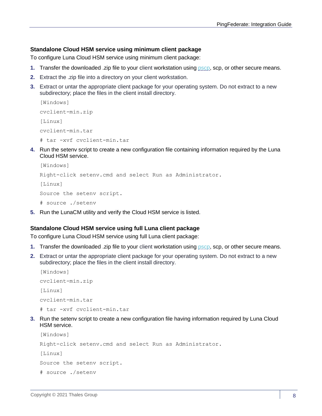## **Standalone Cloud HSM service using minimum client package**

To configure Luna Cloud HSM service using minimum client package:

- **1.** Transfer the downloaded .zip file to your client workstation using [pscp,](https://thalesdocs.com/gphsm/luna/10.2/docs/network/Content/Utilities/pscp.htm) scp, or other secure means.
- **2.** Extract the .zip file into a directory on your client workstation.
- **3.** Extract or untar the appropriate client package for your operating system. Do not extract to a new subdirectory; place the files in the client install directory.

```
[Windows]
cvclient-min.zip
[Linux]
cvclient-min.tar
# tar -xvf cvclient-min.tar
```
**4.** Run the setenv script to create a new configuration file containing information required by the Luna Cloud HSM service.

```
[Windows] 
Right-click setenv.cmd and select Run as Administrator.
[Linux] 
Source the setenv script.
# source ./setenv
```
**5.** Run the LunaCM utility and verify the Cloud HSM service is listed.

## <span id="page-7-0"></span>**Standalone Cloud HSM service using full Luna client package**

To configure Luna Cloud HSM service using full Luna client package:

- **1.** Transfer the downloaded .zip file to your client workstation using [pscp,](https://thalesdocs.com/gphsm/luna/10.2/docs/network/Content/Utilities/pscp.htm) scp, or other secure means.
- **2.** Extract or untar the appropriate client package for your operating system. Do not extract to a new subdirectory; place the files in the client install directory.

```
[Windows]
cvclient-min.zip
[Linux]
cvclient-min.tar
# tar -xvf cvclient-min.tar
```
**3.** Run the setenv script to create a new configuration file having information required by Luna Cloud HSM service.

```
[Windows] 
Right-click setenv.cmd and select Run as Administrator.
[Linux]
Source the setenv script.
# source ./setenv
```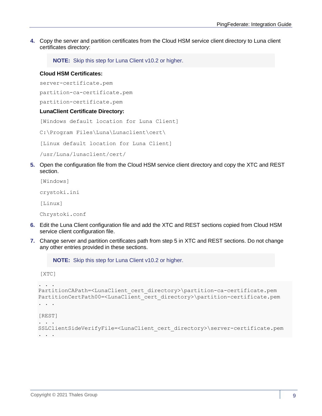**4.** Copy the server and partition certificates from the Cloud HSM service client directory to Luna client certificates directory:

**NOTE:** Skip this step for Luna Client v10.2 or higher.

#### **Cloud HSM Certificates:**

server-certificate.pem

partition-ca-certificate.pem

partition-certificate.pem

#### **LunaClient Certificate Directory:**

[Windows default location for Luna Client]

C:\Program Files\Luna\Lunaclient\cert\

[Linux default location for Luna Client]

/usr/Luna/lunaclient/cert/

**5.** Open the configuration file from the Cloud HSM service client directory and copy the XTC and REST section.

[Windows]

crystoki.ini

[Linux]

[XTC]

Chrystoki.conf

- **6.** Edit the Luna Client configuration file and add the XTC and REST sections copied from Cloud HSM service client configuration file.
- **7.** Change server and partition certificates path from step 5 in XTC and REST sections. Do not change any other entries provided in these sections.

**NOTE:** Skip this step for Luna Client v10.2 or higher.

```
. . . 
PartitionCAPath=<LunaClient_cert_directory>\partition-ca-certificate.pem
PartitionCertPath00=<LunaClient_cert_directory>\partition-certificate.pem
. . .
[REST]
. . .
SSLClientSideVerifyFile=<LunaClient_cert_directory>\server-certificate.pem
. . .
```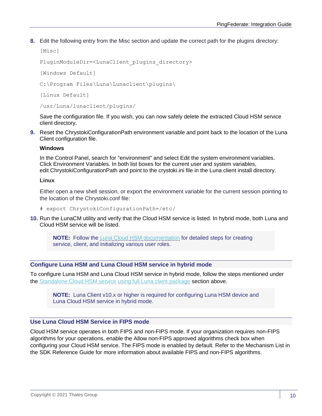**8.** Edit the following entry from the Misc section and update the correct path for the plugins directory:

```
[Misc]
```

```
PluginModuleDir=<LunaClient_plugins_directory>
```
[Windows Default]

```
C:\Program Files\Luna\Lunaclient\plugins\
```
[Linux Default]

/usr/Luna/lunaclient/plugins/

Save the configuration file. If you wish, you can now safely delete the extracted Cloud HSM service client directory.

**9.** Reset the ChrystokiConfigurationPath environment variable and point back to the location of the Luna Client configuration file.

#### **Windows**

In the Control Panel, search for "environment" and select Edit the system environment variables. Click Environment Variables. In both list boxes for the current user and system variables, edit ChrystokiConfigurationPath and point to the crystoki.ini file in the Luna client install directory.

#### **Linux**

Either open a new shell session, or export the environment variable for the current session pointing to the location of the Chrystoki.conf file:

- # export ChrystokiConfigurationPath=/etc/
- **10.** Run the LunaCM utility and verify that the Cloud HSM service is listed. In hybrid mode, both Luna and Cloud HSM service will be listed.

**NOTE:** Follow the [Luna Cloud HSM documentation](https://thalesdocs.com/dpod/index.html) for detailed steps for creating service, client, and initializing various user roles.

#### <span id="page-9-0"></span>**Configure Luna HSM and Luna Cloud HSM service in hybrid mode**

To configure Luna HSM and Luna Cloud HSM service in hybrid mode, follow the steps mentioned under the [Standalone Cloud HSM service using full Luna client package](#page-7-0) section above.

**NOTE:** Luna Client v10.x or higher is required for configuring Luna HSM device and Luna Cloud HSM service in hybrid mode.

## **Use Luna Cloud HSM Service in FIPS mode**

Cloud HSM service operates in both FIPS and non-FIPS mode. If your organization requires non-FIPS algorithms for your operations, enable the Allow non-FIPS approved algorithms check box when configuring your Cloud HSM service. The FIPS mode is enabled by default. Refer to the Mechanism List in the SDK Reference Guide for more information about available FIPS and non-FIPS algorithms.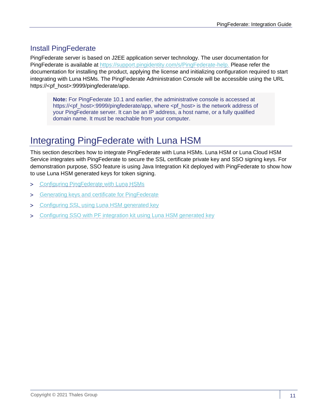## <span id="page-10-0"></span>Install PingFederate

PingFederate server is based on J2EE application server technology. The user documentation for PingFederate is available at [https://support.pingidentity.com/s/PingFederate-help.](https://support.pingidentity.com/s/PingFederate-help) Please refer the documentation for installing the product, applying the license and initializing configuration required to start integrating with Luna HSMs. The PingFederate Administration Console will be accessible using the URL https://<pf\_host>:9999/pingfederate/app.

**Note:** For PingFederate 10.1 and earlier, the administrative console is accessed at https://<pf\_host>:9999/pingfederate/app, where <pf\_host> is the network address of your PingFederate server. It can be an IP address, a host name, or a fully qualified domain name. It must be reachable from your computer.

## <span id="page-10-1"></span>Integrating PingFederate with Luna HSM

This section describes how to integrate PingFederate with Luna HSMs. Luna HSM or Luna Cloud HSM Service integrates with PingFederate to secure the SSL certificate private key and SSO signing keys. For demonstration purpose, SSO feature is using Java Integration Kit deployed with PingFederate to show how to use Luna HSM generated keys for token signing.

- > Configuring [PingFederate with](#page-11-0) Luna HSMs
- > [Generating keys and certificate for PingFederate](#page-13-0)
- > [Configuring SSL using Luna HSM generated key](#page-16-0)
- > Configuring SSO with PF [integration kit using Luna HSM generated key](#page-16-1)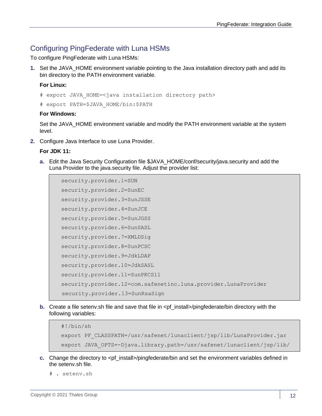## <span id="page-11-0"></span>Configuring PingFederate with Luna HSMs

To configure PingFederate with Luna HSMs:

**1.** Set the JAVA\_HOME environment variable pointing to the Java installation directory path and add its bin directory to the PATH environment variable.

#### **For Linux:**

- # export JAVA\_HOME=<java installation directory path>
- # export PATH=\$JAVA\_HOME/bin:\$PATH

## **For Windows:**

Set the JAVA\_HOME environment variable and modify the PATH environment variable at the system level.

**2.** Configure Java Interface to use Luna Provider.

## **For JDK 11:**

**a.** Edit the Java Security Configuration file \$JAVA\_HOME/conf/security/java.security and add the Luna Provider to the java.security file. Adjust the provider list:

```
security.provider.1=SUN
security.provider.2=SunEC
security.provider.3=SunJSSE
security.provider.4=SunJCE
security.provider.5=SunJGSS
security.provider.6=SunSASL
security.provider.7=XMLDSig
security.provider.8=SunPCSC
security.provider.9=JdkLDAP
security.provider.10=JdkSASL
security.provider.11=SunPKCS11
security.provider.12=com.safenetinc.luna.provider.LunaProvider
 security.provider.13=SunRsaSign
```
**b.** Create a file seteny sh file and save that file in <pf install>/pingfederate/bin directory with the following variables:

```
#!/bin/sh
export PF CLASSPATH=/usr/safenet/lunaclient/jsp/lib/LunaProvider.jar
export JAVA_OPTS=-Djava.library.path=/usr/safenet/lunaclient/jsp/lib/
```
- **c.** Change the directory to <pf\_install>/pingfederate/bin and set the environment variables defined in the setenv.sh file.
	- # . setenv.sh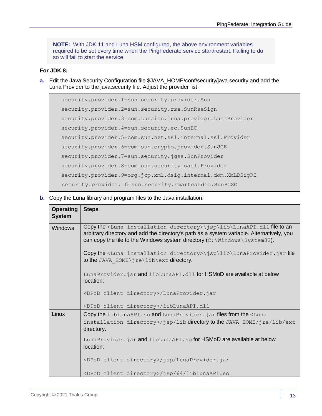**NOTE:** With JDK 11 and Luna HSM configured, the above environment variables required to be set every time when the PingFederate service start/restart. Failing to do so will fail to start the service.

## **For JDK 8:**

**a.** Edit the Java Security Configuration file \$JAVA\_HOME/conf/security/java.security and add the Luna Provider to the java.security file. Adjust the provider list:

```
security.provider.1=sun.security.provider.Sun
security.provider.2=sun.security.rsa.SunRsaSign
security.provider.3=com.Lunainc.luna.provider.LunaProvider
security.provider.4=sun.security.ec.SunEC
security.provider.5=com.sun.net.ssl.internal.ssl.Provider
security.provider.6=com.sun.crypto.provider.SunJCE
security.provider.7=sun.security.jgss.SunProvider
security.provider.8=com.sun.security.sasl.Provider
security.provider.9=org.jcp.xml.dsig.internal.dom.XMLDSigRI
 security.provider.10=sun.security.smartcardio.SunPCSC
```
**b.** Copy the Luna library and program files to the Java installation:

| <b>Operating</b><br><b>System</b> | <b>Steps</b>                                                                                                                                                                                                                                                                         |
|-----------------------------------|--------------------------------------------------------------------------------------------------------------------------------------------------------------------------------------------------------------------------------------------------------------------------------------|
| <b>Windows</b>                    | Copy the <luna directory="" installation="">\jsp\lib\LunaAPI.dll file to an<br/>arbitrary directory and add the directory's path as a system variable. Alternatively, you<br/>can copy the file to the Windows system directory <math>(C:\lim_{\text{down}}\S</math>ystem32).</luna> |
|                                   | Copy the <luna directory="" installation="">\jsp\lib\LunaProvider.jar file<br/>to the JAVA HOME\jre\lib\ext directory.</luna>                                                                                                                                                        |
|                                   | LunaProvider.jar and libLunaAPI.dll for HSMoD are available at below<br>location:                                                                                                                                                                                                    |
|                                   | <dpod client="" directory="">/LunaProvider.jar</dpod>                                                                                                                                                                                                                                |
|                                   | <dpod client="" directory="">/libLunaAPI.dll</dpod>                                                                                                                                                                                                                                  |
| Linux                             | Copy the libLunaAPI.so and LunaProvider.jar files from the <luna<br>installation directory&gt;/jsp/lib directory to the JAVA HOME/jre/lib/ext<br/>directory.</luna<br>                                                                                                               |
|                                   | LunaProvider.jar and libLunaAPI.so for HSMoD are available at below<br>location:                                                                                                                                                                                                     |
|                                   | <dpod client="" directory="">/jsp/LunaProvider.jar</dpod>                                                                                                                                                                                                                            |
|                                   | <dpod client="" directory="">/jsp/64/libLunaAPI.so</dpod>                                                                                                                                                                                                                            |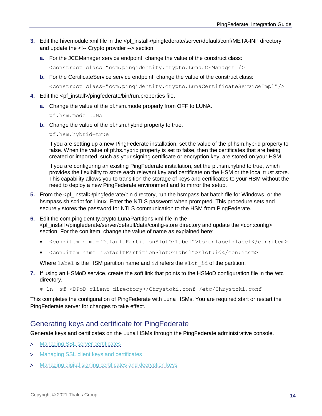- **3.** Edit the hivemodule.xml file in the <pf\_install>/pingfederate/server/default/conf/META-INF directory and update the <!-- Crypto provider --> section.
	- **a.** For the JCEManager service endpoint, change the value of the construct class:

<construct class="com.pingidentity.crypto.LunaJCEManager"/>

**b.** For the CertificateService service endpoint, change the value of the construct class:

<construct class="com.pingidentity.crypto.LunaCertificateServiceImpl"/>

- **4.** Edit the <pf\_install>/pingfederate/bin/run.properties file.
	- **a.** Change the value of the pf.hsm.mode property from OFF to LUNA.

pf.hsm.mode=LUNA

**b.** Change the value of the pf.hsm.hybrid property to true.

pf.hsm.hybrid=true

If you are setting up a new PingFederate installation, set the value of the pf.hsm.hybrid property to false. When the value of pf.hs.hybrid property is set to false, then the certificates that are being created or imported, such as your signing certificate or encryption key, are stored on your HSM.

If you are configuring an existing PingFederate installation, set the pf.hsm.hybrid to true, which provides the flexibility to store each relevant key and certificate on the HSM or the local trust store. This capability allows you to transition the storage of keys and certificates to your HSM without the need to deploy a new PingFederate environment and to mirror the setup.

- **5.** From the <pf\_install>/pingfederate/bin directory, run the hsmpass.bat batch file for Windows, or the hsmpass.sh script for Linux. Enter the NTLS password when prompted. This procedure sets and securely stores the password for NTLS communication to the HSM from PingFederate.
- **6.** Edit the com.pingidentity.crypto.LunaPartitions.xml file in the <pf\_install>/pingfederate/server/default/data/config-store directory and update the <con:config> section. For the con: item, change the value of name as explained here:
	- <con:item name="DefaultPartitionSlotOrLabel">tokenlabel:label</con:item>
	- <con:item name="DefaultPartitionSlotOrLabel">slot:id</con:item>

Where  $l$ abel is the HSM partition name and  $id$  refers the  $slot$  id of the partition.

**7.** If using an HSMoD service, create the soft link that points to the HSMoD configuration file in the /etc directory.

# ln -sf <DPoD client directory>/Chrystoki.conf /etc/Chrystoki.conf

This completes the configuration of PingFederate with Luna HSMs. You are required start or restart the PingFederate server for changes to take effect.

## <span id="page-13-0"></span>Generating keys and certificate for PingFederate

Generate keys and certificates on the Luna HSMs through the PingFederate administrative console.

- > [Managing SSL server certificates](#page-14-0)
- > [Managing SSL client keys and certificates](#page-15-0)
- > [Managing digital signing certificates and decryption keys](#page-15-1)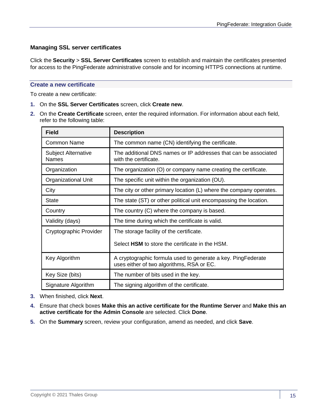## <span id="page-14-0"></span>**Managing SSL server certificates**

Click the **Security** > **SSL Server Certificates** screen to establish and maintain the certificates presented for access to the PingFederate administrative console and for incoming HTTPS connections at runtime.

#### **Create a new certificate**

To create a new certificate:

- **1.** On the **SSL Server Certificates** screen, click **Create new**.
- **2.** On the **Create Certificate** screen, enter the required information. For information about each field, refer to the following table:

| <b>Field</b>                               | <b>Description</b>                                                                                        |
|--------------------------------------------|-----------------------------------------------------------------------------------------------------------|
| Common Name                                | The common name (CN) identifying the certificate.                                                         |
| <b>Subject Alternative</b><br><b>Names</b> | The additional DNS names or IP addresses that can be associated<br>with the certificate.                  |
| Organization                               | The organization (O) or company name creating the certificate.                                            |
| Organizational Unit                        | The specific unit within the organization (OU).                                                           |
| City                                       | The city or other primary location (L) where the company operates.                                        |
| <b>State</b>                               | The state (ST) or other political unit encompassing the location.                                         |
| Country                                    | The country (C) where the company is based.                                                               |
| Validity (days)                            | The time during which the certificate is valid.                                                           |
| Cryptographic Provider                     | The storage facility of the certificate.                                                                  |
|                                            | Select HSM to store the certificate in the HSM.                                                           |
| Key Algorithm                              | A cryptographic formula used to generate a key. PingFederate<br>uses either of two algorithms, RSA or EC. |
| Key Size (bits)                            | The number of bits used in the key.                                                                       |
| Signature Algorithm                        | The signing algorithm of the certificate.                                                                 |

- **3.** When finished, click **Next**.
- **4.** Ensure that check boxes **Make this an active certificate for the Runtime Server** and **Make this an active certificate for the Admin Console** are selected. Click **Done**.
- **5.** On the **Summary** screen, review your configuration, amend as needed, and click **Save**.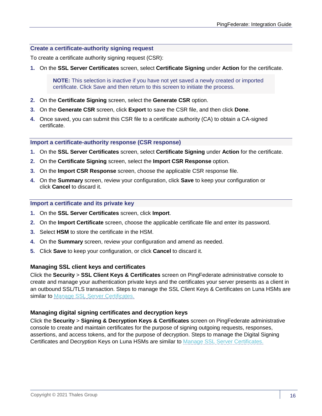#### **Create a certificate-authority signing request**

To create a certificate authority signing request (CSR):

**1.** On the **SSL Server Certificates** screen, select **Certificate Signing** under **Action** for the certificate.

**NOTE:** This selection is inactive if you have not yet saved a newly created or imported certificate. Click Save and then return to this screen to initiate the process.

- **2.** On the **Certificate Signing** screen, select the **Generate CSR** option.
- **3.** On the **Generate CSR** screen, click **Export** to save the CSR file, and then click **Done**.
- **4.** Once saved, you can submit this CSR file to a certificate authority (CA) to obtain a CA-signed certificate.

#### **Import a certificate-authority response (CSR response)**

- **1.** On the **SSL Server Certificates** screen, select **Certificate Signing** under **Action** for the certificate.
- **2.** On the **Certificate Signing** screen, select the **Import CSR Response** option.
- **3.** On the **Import CSR Response** screen, choose the applicable CSR response file.
- **4.** On the **Summary** screen, review your configuration, click **Save** to keep your configuration or click **Cancel** to discard it.

#### **Import a certificate and its private key**

- **1.** On the **SSL Server Certificates** screen, click **Import**.
- **2.** On the **Import Certificate** screen, choose the applicable certificate file and enter its password.
- **3.** Select **HSM** to store the certificate in the HSM.
- **4.** On the **Summary** screen, review your configuration and amend as needed.
- **5.** Click **Save** to keep your configuration, or click **Cancel** to discard it.

## <span id="page-15-0"></span>**Managing SSL client keys and certificates**

Click the **Security** > **SSL Client Keys & Certificates** screen on PingFederate administrative console to create and manage your authentication private keys and the certificates your server presents as a client in an outbound SSL/TLS transaction. Steps to manage the SSL Client Keys & Certificates on Luna HSMs are similar to [Manage SSL Server Certificates.](#page-14-0)

#### <span id="page-15-1"></span>**Managing digital signing certificates and decryption keys**

Click the **Security** > **Signing & Decryption Keys & Certificates** screen on PingFederate administrative console to create and maintain certificates for the purpose of signing outgoing requests, responses, assertions, and access tokens, and for the purpose of decryption. Steps to manage the Digital Signing Certificates and Decryption Keys on Luna HSMs are similar to [Manage SSL Server Certificates.](#page-14-0)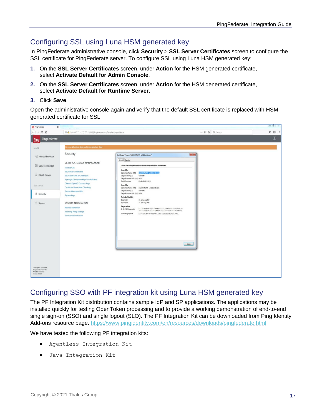## <span id="page-16-0"></span>Configuring SSL using Luna HSM generated key

In PingFederate administrative console, click **Security** > **SSL Server Certificates** screen to configure the SSL certificate for PingFederate server. To configure SSL using Luna HSM generated key:

- **1.** On the **SSL Server Certificates** screen, under **Action** for the HSM generated certificate, select **Activate Default for Admin Console**.
- **2.** On the **SSL Server Certificates** screen, under **Action** for the HSM generated certificate, select **Activate Default for Runtime Server**.
- **3.** Click **Save**.

Open the administrative console again and verify that the default SSL certificate is replaced with HSM generated certificate for SSL.

| <b>Di</b> PingFederate<br>×                                                                         |                                                                                                                                                                       |                                                                                                                                                                                                                                                                                                                                                        |                | $= 0 3$                                    |
|-----------------------------------------------------------------------------------------------------|-----------------------------------------------------------------------------------------------------------------------------------------------------------------------|--------------------------------------------------------------------------------------------------------------------------------------------------------------------------------------------------------------------------------------------------------------------------------------------------------------------------------------------------------|----------------|--------------------------------------------|
| $\leftarrow$ $\rightarrow$<br>$C$ $\Omega$                                                          | 4 https://" _ _______9999/pingfederate/app?service=page/Home                                                                                                          |                                                                                                                                                                                                                                                                                                                                                        | … ◎ ☆ Q Search | $\mathbb{M} \quad \mathbb{D} \quad \equiv$ |
| PingFederate®<br><b>Ping</b>                                                                        |                                                                                                                                                                       |                                                                                                                                                                                                                                                                                                                                                        |                | $^{\circ}$                                 |
| <b>MAIN</b>                                                                                         | License Warning: Approaching expiration date                                                                                                                          |                                                                                                                                                                                                                                                                                                                                                        |                |                                            |
| Identity Provider                                                                                   | Security                                                                                                                                                              | $\mathbf{X}$<br>Certificate Viewer: "NODISM1INT-MAD6.sfnt.com"                                                                                                                                                                                                                                                                                         |                |                                            |
| Service Provider<br>@ OAuth Server                                                                  | <b>CERTIFICATE &amp; KEY MANAGEMENT</b><br><b>Trusted CAs</b><br><b>SSL Server Certificates</b>                                                                       | General Details<br>Could not verify this certificate because the issuer is unknown.<br><b>Issued To</b><br>MODISMENT-MADE.afrit.com<br>Common Name (CN)                                                                                                                                                                                                |                |                                            |
| <b>SETTINGS</b>                                                                                     | SSL Client Keys & Certificates<br>Signing & Decryption Keys & Certificates<br>OAuth & OpenID Connect Keys<br>Certificate Revocation Checking<br>Partner Metadata URLs | Organization (O)<br>Gemalto<br>Organizational Unit (OU) HSM<br>Serial Number<br>01:68:60:86:DB:10<br>Issued By<br>Common Name (CN) NOIHSMIINT-MA06.sfnt.com<br>Organization (O)<br>Gemalto                                                                                                                                                             |                |                                            |
| 8 Security                                                                                          | System Keys                                                                                                                                                           | Organizational Unit (OU) HSM<br><b>Period of Validity</b>                                                                                                                                                                                                                                                                                              |                |                                            |
| System                                                                                              | <b>SYSTEM INTEGRATION</b><br><b>Redirect Validation</b><br><b>Incoming Proxy Settings</b><br><b>Service Authentication</b>                                            | 18 January 2019<br>Begins On<br>18 January 2020<br>Expires On<br><b>Fingerprints</b><br>CC: D2: FA: FB: 2B: C3: 65: 42: 7F: A1: 6E: EE: C0: 05: 43: C2:<br>72: A4: 33: DA: 4A: 24: DE: A3: 49: 17: 7C: 06: 3A: AE: 8A: 20<br>SHA-256 Fingerprint<br><b>SHA1 Fingerprint</b><br>53-3C/E9:C2:5F:75:72:60:86:11:42:FA:C6:01:9E:1C/F3:A7:68:17<br>$C$ lose |                |                                            |
| Copyright @ 2003-2018<br><b>Ping klentity Corporation</b><br>All rights reserved<br>Version 9.2.030 |                                                                                                                                                                       |                                                                                                                                                                                                                                                                                                                                                        |                |                                            |

## <span id="page-16-1"></span>Configuring SSO with PF integration kit using Luna HSM generated key

The PF Integration Kit distribution contains sample IdP and SP applications. The applications may be installed quickly for testing OpenToken processing and to provide a working demonstration of end-to-end single sign-on (SSO) and single logout (SLO). The PF Integration Kit can be downloaded from Ping Identity Add-ons resource page.<https://www.pingidentity.com/en/resources/downloads/pingfederate.html>

We have tested the following PF integration kits:

- Agentless Integration Kit
- Java Integration Kit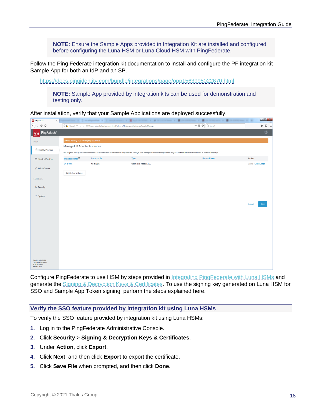**NOTE:** Ensure the Sample Apps provided in Integration Kit are installed and configured before configuring the Luna HSM or Luna Cloud HSM with PingFederate.

Follow the Ping Federate integration kit documentation to install and configure the PF integration kit Sample App for both an IdP and an SP.

<https://docs.pingidentity.com/bundle/integrations/page/opp1563995022670.html>

**NOTE:** Sample App provided by integration kits can be used for demonstration and testing only.

After installation, verify that your Sample Applications are deployed successfully.

| Pr PingFederate                                                                                      |                                                                                                                         |                    | x Calendary X 2 molecules + 2 mountains + 2 habitation + 2 monetary + 2                                                                                                                                   | to be red and . If I is contributed in the<br><b>200 KOMMAR ROAD</b><br>٠ | $\begin{array}{c c c c c c} \hline \multicolumn{3}{c }{\mathbf{0}} & \multicolumn{3}{c }{\mathbf{0}} \\ \hline \multicolumn{3}{c }{\mathbf{0}} & \multicolumn{3}{c }{\mathbf{0}} \\ \hline \multicolumn{3}{c }{\mathbf{0}} & \multicolumn{3}{c }{\mathbf{0}} \\ \hline \multicolumn{3}{c }{\mathbf{0}} & \multicolumn{3}{c }{\mathbf{0}} \\ \hline \multicolumn{3}{c }{\mathbf{0}} & \multicolumn{3}{c }{\mathbf{0}} \\ \hline \multicolumn{3}{c }{\mathbf{0$ |
|------------------------------------------------------------------------------------------------------|-------------------------------------------------------------------------------------------------------------------------|--------------------|-----------------------------------------------------------------------------------------------------------------------------------------------------------------------------------------------------------|---------------------------------------------------------------------------|---------------------------------------------------------------------------------------------------------------------------------------------------------------------------------------------------------------------------------------------------------------------------------------------------------------------------------------------------------------------------------------------------------------------------------------------------------------|
| $\leftarrow$<br>$C$ $\hat{w}$<br>$\rightarrow$                                                       | … ⊙☆ Q search<br>1 0 ft https://" "  '  9999/pingfederate/app?service=direct/1/Home/Holder/portalMenu.idpAdapterManager |                    |                                                                                                                                                                                                           |                                                                           | $\begin{array}{ccc} \text{in} & \text{in} & \text{in} \end{array}$                                                                                                                                                                                                                                                                                                                                                                                            |
| PingFederate®<br>Ping                                                                                |                                                                                                                         |                    |                                                                                                                                                                                                           |                                                                           | $\bullet$                                                                                                                                                                                                                                                                                                                                                                                                                                                     |
| MAIN                                                                                                 | License Warning: Approaching expiration date                                                                            |                    |                                                                                                                                                                                                           |                                                                           |                                                                                                                                                                                                                                                                                                                                                                                                                                                               |
|                                                                                                      | Manage IdP Adapter Instances                                                                                            |                    |                                                                                                                                                                                                           |                                                                           |                                                                                                                                                                                                                                                                                                                                                                                                                                                               |
| <sup>c</sup> Identity Provider                                                                       |                                                                                                                         |                    | IdP adapters look up session information and provide user identification to PingFederate. Here you can manage instances of adapters that may be used to fulfill attribute contracts in protocol mappings. |                                                                           |                                                                                                                                                                                                                                                                                                                                                                                                                                                               |
| Service Provider                                                                                     | Instance Name <del>○</del>                                                                                              | <b>Instance ID</b> | <b>Type</b>                                                                                                                                                                                               | <b>Parent Name</b>                                                        | <b>Action</b>                                                                                                                                                                                                                                                                                                                                                                                                                                                 |
|                                                                                                      | OTIdPJava                                                                                                               | OTIdPJava          | OpenToken Adapter 2.5.7                                                                                                                                                                                   |                                                                           | Delete I Check Usage                                                                                                                                                                                                                                                                                                                                                                                                                                          |
| @ OAuth Server                                                                                       | Create New Instance                                                                                                     |                    |                                                                                                                                                                                                           |                                                                           |                                                                                                                                                                                                                                                                                                                                                                                                                                                               |
| <b>SETTINGS</b>                                                                                      |                                                                                                                         |                    |                                                                                                                                                                                                           |                                                                           |                                                                                                                                                                                                                                                                                                                                                                                                                                                               |
|                                                                                                      |                                                                                                                         |                    |                                                                                                                                                                                                           |                                                                           |                                                                                                                                                                                                                                                                                                                                                                                                                                                               |
| <b>Security</b>                                                                                      |                                                                                                                         |                    |                                                                                                                                                                                                           |                                                                           |                                                                                                                                                                                                                                                                                                                                                                                                                                                               |
| 二 System                                                                                             |                                                                                                                         |                    |                                                                                                                                                                                                           |                                                                           |                                                                                                                                                                                                                                                                                                                                                                                                                                                               |
|                                                                                                      |                                                                                                                         |                    |                                                                                                                                                                                                           |                                                                           | Cancel<br><b>Save</b>                                                                                                                                                                                                                                                                                                                                                                                                                                         |
|                                                                                                      |                                                                                                                         |                    |                                                                                                                                                                                                           |                                                                           |                                                                                                                                                                                                                                                                                                                                                                                                                                                               |
|                                                                                                      |                                                                                                                         |                    |                                                                                                                                                                                                           |                                                                           |                                                                                                                                                                                                                                                                                                                                                                                                                                                               |
|                                                                                                      |                                                                                                                         |                    |                                                                                                                                                                                                           |                                                                           |                                                                                                                                                                                                                                                                                                                                                                                                                                                               |
|                                                                                                      |                                                                                                                         |                    |                                                                                                                                                                                                           |                                                                           |                                                                                                                                                                                                                                                                                                                                                                                                                                                               |
|                                                                                                      |                                                                                                                         |                    |                                                                                                                                                                                                           |                                                                           |                                                                                                                                                                                                                                                                                                                                                                                                                                                               |
|                                                                                                      |                                                                                                                         |                    |                                                                                                                                                                                                           |                                                                           |                                                                                                                                                                                                                                                                                                                                                                                                                                                               |
|                                                                                                      |                                                                                                                         |                    |                                                                                                                                                                                                           |                                                                           |                                                                                                                                                                                                                                                                                                                                                                                                                                                               |
|                                                                                                      |                                                                                                                         |                    |                                                                                                                                                                                                           |                                                                           |                                                                                                                                                                                                                                                                                                                                                                                                                                                               |
|                                                                                                      |                                                                                                                         |                    |                                                                                                                                                                                                           |                                                                           |                                                                                                                                                                                                                                                                                                                                                                                                                                                               |
| Copyright @ 2003-2018<br>Ping Identity Corporation<br>All rights reserved<br><b>Version 9.2.0.10</b> |                                                                                                                         |                    |                                                                                                                                                                                                           |                                                                           |                                                                                                                                                                                                                                                                                                                                                                                                                                                               |
|                                                                                                      |                                                                                                                         |                    |                                                                                                                                                                                                           |                                                                           |                                                                                                                                                                                                                                                                                                                                                                                                                                                               |

Configure PingFederate to use HSM by steps provided in [Integrating PingFederate with Luna HSMs](#page-11-0) and generate the **Signing & Decryption Keys & Certificates**. To use the signing key generated on Luna HSM for SSO and Sample App Token signing, perform the steps explained here.

#### **Verify the SSO feature provided by integration kit using Luna HSMs**

To verify the SSO feature provided by integration kit using Luna HSMs:

- **1.** Log in to the PingFederate Administrative Console.
- **2.** Click **Security** > **Signing & Decryption Keys & Certificates**.
- **3.** Under **Action**, click **Export**.
- **4.** Click **Next**, and then click **Export** to export the certificate.
- **5.** Click **Save File** when prompted, and then click **Done**.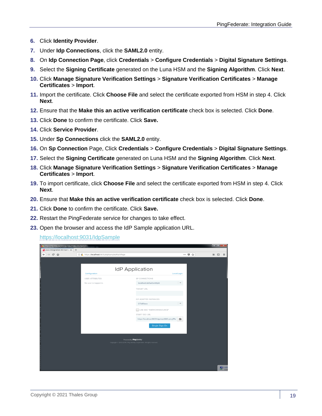- **6.** Click **Identity Provider**.
- **7.** Under **Idp Connections**, click the **SAML2.0** entity.
- **8.** On **Idp Connection Page**, click **Credentials** > **Configure Credentials** > **Digital Signature Settings**.
- **9.** Select the **Signing Certificate** generated on the Luna HSM and the **Signing Algorithm**. Click **Next**.
- **10.** Click **Manage Signature Verification Settings** > **Signature Verification Certificates** > **Manage Certificates** > **Import**.
- **11.** Import the certificate. Click **Choose File** and select the certificate exported from HSM in step 4. Click **Next**.
- **12.** Ensure that the **Make this an active verification certificate** check box is selected. Click **Done**.
- **13.** Click **Done** to confirm the certificate. Click **Save.**
- **14.** Click **Service Provider**.
- **15.** Under **Sp Connections** click the **SAML2.0** entity.
- **16.** On **Sp Connection** Page, Click **Credentials** > **Configure Credentials** > **Digital Signature Settings**.
- **17.** Select the **Signing Certificate** generated on Luna HSM and the **Signing Algorithm**. Click **Next**.
- **18.** Click **Manage Signature Verification Settings** > **Signature Verification Certificates** > **Manage Certificates** > **Import**.
- **19.** To import certificate, click **Choose File** and select the certificate exported from HSM in step 4. Click **Next**.
- **20.** Ensure that **Make this an active verification certificate** check box is selected. Click **Done**.
- **21.** Click **Done** to confirm the certificate. Click **Save.**
- **22.** Restart the PingFederate service for changes to take effect.
- **23.** Open the browser and access the IdP Sample application URL.

<https://localhost:9031/IdpSample>

| Java Integration Kit Sample Main Page - Mozilla Firefox |                                               |                                                                        |                                                                    |                                          |
|---------------------------------------------------------|-----------------------------------------------|------------------------------------------------------------------------|--------------------------------------------------------------------|------------------------------------------|
| I Java Integration Kit Samp X<br>$+$                    |                                               |                                                                        |                                                                    |                                          |
| $\leftarrow$ $\rightarrow$ $\alpha$ $\alpha$            | 1 M https://localhost:9031/IdpSample/MainPage |                                                                        | $\cdots \; \pmb{\heartsuit} \; \; \overset{}{\rightsquigarrow} \;$ | $\mathbb{I} \cap \mathbb{I}$<br>$\equiv$ |
|                                                         |                                               |                                                                        |                                                                    |                                          |
|                                                         |                                               |                                                                        |                                                                    |                                          |
|                                                         |                                               | <b>IdP</b> Application                                                 |                                                                    |                                          |
|                                                         | Configuration                                 |                                                                        | <b>Local Login</b>                                                 |                                          |
|                                                         | <b>USER ATTRIBUTES</b>                        | SP CONNECTIONS                                                         |                                                                    |                                          |
|                                                         | No user is logged in.                         | localhost:default:entityId                                             | ×                                                                  |                                          |
|                                                         |                                               | <b>TARGET URL</b>                                                      |                                                                    |                                          |
|                                                         |                                               |                                                                        |                                                                    |                                          |
|                                                         |                                               | <b>IDP ADAPTER INSTANCES</b>                                           |                                                                    |                                          |
|                                                         |                                               | OTIdRJava                                                              | $\mathcal{L}$                                                      |                                          |
|                                                         |                                               | USE SSO "INERRORRESOURCE"                                              |                                                                    |                                          |
|                                                         |                                               | START SSO URL                                                          |                                                                    |                                          |
|                                                         |                                               | https://localhost:9031/idp/startSSO.ping?Pa                            | 隐                                                                  |                                          |
|                                                         |                                               | Single Sign-On                                                         |                                                                    |                                          |
|                                                         |                                               |                                                                        |                                                                    |                                          |
|                                                         |                                               |                                                                        |                                                                    |                                          |
|                                                         |                                               | Powered by Pingidentity'                                               |                                                                    |                                          |
|                                                         |                                               | Copyright © 2003-2018. Ping Identity Corporation. All rights reserved. |                                                                    |                                          |
|                                                         |                                               |                                                                        |                                                                    |                                          |
|                                                         |                                               |                                                                        |                                                                    |                                          |
|                                                         |                                               |                                                                        |                                                                    |                                          |
|                                                         |                                               |                                                                        |                                                                    |                                          |
|                                                         |                                               |                                                                        |                                                                    | A Add<br>-- Click                        |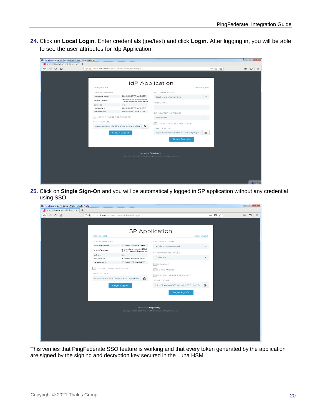**24.** Click on **Local Login**. Enter credentials (joe/test) and click **Login**. After logging in, you will be able to see the user attributes for Idp Application.

| Java Integration Kit Sample Main Page - Mozilla Firefox |                                               |                                                     |                                                                        |                                  |                 |
|---------------------------------------------------------|-----------------------------------------------|-----------------------------------------------------|------------------------------------------------------------------------|----------------------------------|-----------------|
| I Java Integration Kit Samp X<br>$+$                    |                                               |                                                     |                                                                        |                                  |                 |
| $\leftarrow$ $\rightarrow$ $\alpha$ $\alpha$            | 1 A https://localhost:9031/idpSample/MainPage |                                                     |                                                                        | $\cdots \circledast \circledast$ | Ⅲ □<br>$\equiv$ |
|                                                         |                                               |                                                     |                                                                        |                                  |                 |
|                                                         |                                               |                                                     |                                                                        |                                  |                 |
|                                                         |                                               |                                                     |                                                                        |                                  |                 |
|                                                         |                                               |                                                     | <b>IdP</b> Application                                                 |                                  |                 |
|                                                         | Configuration                                 |                                                     | Local Logout                                                           |                                  |                 |
|                                                         | <b>USER ATTRIBUTES</b>                        |                                                     | SP CONNECTIONS                                                         |                                  |                 |
|                                                         | not-on-or-after                               | 2019-01-25T09:45:07Z                                | localhost:default:entityld                                             | $\overline{\phantom{a}}$         |                 |
|                                                         | authnContext                                  | urn:oasis:names:tc:SAML<br>:2.0:ac:classes:Password | <b>TARGET URL</b>                                                      |                                  |                 |
|                                                         | subject                                       | joe                                                 |                                                                        |                                  |                 |
|                                                         | not-before                                    | 2019-01-25T09:40:07Z                                |                                                                        |                                  |                 |
|                                                         | renew-until                                   | 2019-01-25T21:40:07Z                                | <b>IDP ADAPTER INSTANCES</b>                                           |                                  |                 |
|                                                         | USE SLO "INERRORRESOURCE"                     |                                                     | OTIdPJava                                                              | $\mathbf{w}$                     |                 |
|                                                         | <b>START SLO URL</b>                          |                                                     |                                                                        |                                  |                 |
|                                                         |                                               | https://localhost:9031/idp/startSLO.ping?Tar<br>险   | USE SSO "INERRORRESOURCE"                                              |                                  |                 |
|                                                         |                                               |                                                     | START SSO URL                                                          |                                  |                 |
|                                                         |                                               | <b>Single Logout</b>                                | https://localhost:9031/idp/startSSO.ping?Pa                            | 臨                                |                 |
|                                                         |                                               |                                                     | Single Sign-On                                                         |                                  |                 |
|                                                         |                                               |                                                     |                                                                        |                                  |                 |
|                                                         |                                               |                                                     |                                                                        |                                  |                 |
|                                                         |                                               |                                                     |                                                                        |                                  |                 |
|                                                         |                                               | Powered by Pingklentity                             |                                                                        |                                  |                 |
|                                                         |                                               |                                                     | Copyright © 2003-2018. Ping Identity Corporation. All rights reserved. |                                  |                 |
|                                                         |                                               |                                                     |                                                                        |                                  |                 |
|                                                         |                                               |                                                     |                                                                        |                                  |                 |
|                                                         |                                               |                                                     |                                                                        |                                  |                 |
|                                                         |                                               |                                                     |                                                                        |                                  |                 |
|                                                         |                                               |                                                     |                                                                        |                                  |                 |
|                                                         |                                               |                                                     |                                                                        |                                  | <b>ATIV</b> Add |

**25.** Click on **Single Sign-On** and you will be automatically logged in SP application without any credential using SSO.

| Java Integration Kit Sample Main - Mozilla Firefox               |                                               |                                                 |                                                                      |                     | $-88$           |
|------------------------------------------------------------------|-----------------------------------------------|-------------------------------------------------|----------------------------------------------------------------------|---------------------|-----------------|
| $\blacksquare$ Java Integration Kit Samp $\times$<br>$+$         |                                               |                                                 |                                                                      |                     |                 |
| $\mathbb{C}^{\mathsf{s}}$<br>$\leftarrow$<br>一企<br>$\rightarrow$ | 1 A https://localhost:9031/SpSample/MainPage/ |                                                 |                                                                      | … ◎ ☆               | Ⅲ □<br>$\equiv$ |
|                                                                  |                                               |                                                 |                                                                      |                     |                 |
|                                                                  |                                               |                                                 |                                                                      |                     |                 |
|                                                                  |                                               |                                                 | <b>SP Application</b>                                                |                     |                 |
|                                                                  | Configuration                                 |                                                 |                                                                      | <b>Local Logout</b> |                 |
|                                                                  |                                               |                                                 |                                                                      |                     |                 |
|                                                                  | <b>USER ATTRIBUTES</b>                        |                                                 | <b>IDP CONNECTIONS</b>                                               |                     |                 |
|                                                                  | not-on-or-after                               | 2019-01-25T09:47:40Z<br>urn:oasis:names:tc:SAML | localhost:default:entityld                                           |                     |                 |
|                                                                  | authnContext                                  | :2.0:ac:classes:Password                        | SP ADAPTER INSTANCES                                                 |                     |                 |
|                                                                  | subject<br>not-before                         | joe<br>2019-01-25T09:42:40Z                     | OTSPJava                                                             |                     |                 |
|                                                                  | renew-until                                   | 2019-01-25T21:42:40Z                            |                                                                      |                     |                 |
|                                                                  |                                               |                                                 | IS PASSIVE                                                           |                     |                 |
|                                                                  | USE SLO "INERRORRESOURCE"                     |                                                 | FORCE AUTHN                                                          |                     |                 |
|                                                                  | START SLO URL                                 |                                                 | USE SSO "INERRORRESOURCE"                                            |                     |                 |
|                                                                  | https://localhost:9031/sp/startSLO.ping?Tar   | ß.                                              | <b>START SSO URL</b>                                                 |                     |                 |
|                                                                  |                                               | <b>Single Logout</b>                            | https://localhost:9031/idp/startSSO.ping?Pa                          | Ġ                   |                 |
|                                                                  |                                               |                                                 | Single Sign-On                                                       |                     |                 |
|                                                                  |                                               |                                                 |                                                                      |                     |                 |
|                                                                  |                                               |                                                 |                                                                      |                     |                 |
|                                                                  |                                               |                                                 |                                                                      |                     |                 |
|                                                                  |                                               | Powered by Pingklentity'                        | Copyright 2003-2018. Ping Identity Corporation. All rights reserved. |                     |                 |
|                                                                  |                                               |                                                 |                                                                      |                     |                 |
|                                                                  |                                               |                                                 |                                                                      |                     |                 |
|                                                                  |                                               |                                                 |                                                                      |                     |                 |
|                                                                  |                                               |                                                 |                                                                      |                     |                 |
|                                                                  |                                               |                                                 |                                                                      |                     |                 |
|                                                                  |                                               |                                                 |                                                                      |                     |                 |
|                                                                  |                                               |                                                 |                                                                      |                     |                 |

This verifies that PingFederate SSO feature is working and that every token generated by the application are signed by the signing and decryption key secured in the Luna HSM.